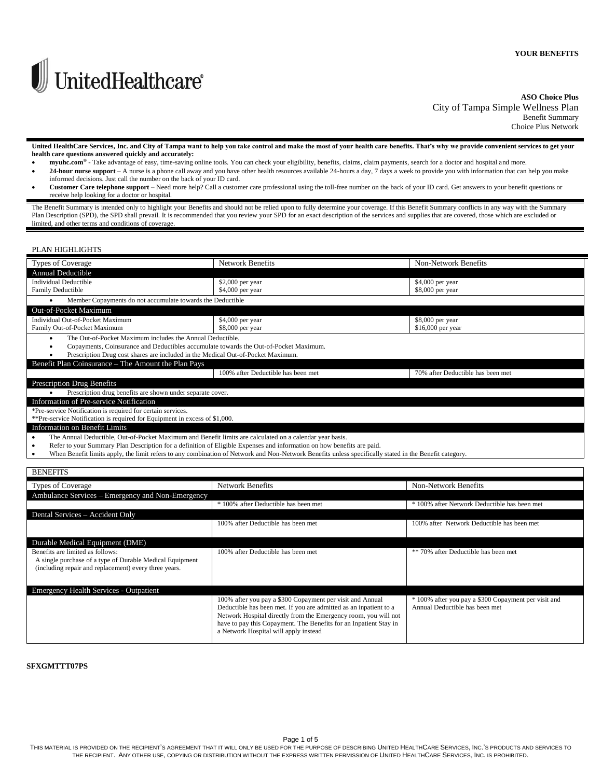

# **ASO Choice Plus** City of Tampa Simple Wellness Plan Benefit Summary

Choice Plus Network

**United HealthCare Services, Inc. and City of Tampa want to help you take control and make the most of your health care benefits. That's why we provide convenient services to get your health care questions answered quickly and accurately:**

- **myuhc.com®** Take advantage of easy, time-saving online tools. You can check your eligibility, benefits, claims, claim payments, search for a doctor and hospital and more. 24-hour nurse support - A nurse is a phone call away and you have other health resources available 24-hours a day, 7 days a week to provide you with information that can help you make
- informed decisions. Just call the number on the back of your ID card. **Customer Care telephone support** – Need more help? Call a customer care professional using the toll-free number on the back of your ID card. Get answers to your benefit questions or
- receive help looking for a doctor or hospital.

The Benefit Summary is intended only to highlight your Benefits and should not be relied upon to fully determine your coverage. If this Benefit Summary conflicts in any way with the Summary Plan Description (SPD), the SPD shall prevail. It is recommended that you review your SPD for an exact description of the services and supplies that are covered, those which are excluded or limited, and other terms and conditions of coverage.

## PLAN HIGHLIGHTS

|                                                                                  | Types of Coverage                                                                                                           | <b>Network Benefits</b>                                                                                                                                | Non-Network Benefits              |  |  |
|----------------------------------------------------------------------------------|-----------------------------------------------------------------------------------------------------------------------------|--------------------------------------------------------------------------------------------------------------------------------------------------------|-----------------------------------|--|--|
|                                                                                  | Annual Deductible                                                                                                           |                                                                                                                                                        |                                   |  |  |
|                                                                                  | <b>Individual Deductible</b>                                                                                                | $$2,000$ per year                                                                                                                                      | $$4,000$ per year                 |  |  |
|                                                                                  | <b>Family Deductible</b>                                                                                                    | \$4,000 per year                                                                                                                                       | \$8,000 per year                  |  |  |
|                                                                                  | Member Copayments do not accumulate towards the Deductible                                                                  |                                                                                                                                                        |                                   |  |  |
|                                                                                  | Out-of-Pocket Maximum                                                                                                       |                                                                                                                                                        |                                   |  |  |
|                                                                                  | Individual Out-of-Pocket Maximum                                                                                            | \$4,000 per year                                                                                                                                       | \$8,000 per year                  |  |  |
|                                                                                  | Family Out-of-Pocket Maximum                                                                                                | \$8,000 per year                                                                                                                                       | $$16,000$ per year                |  |  |
|                                                                                  | The Out-of-Pocket Maximum includes the Annual Deductible.<br>٠                                                              |                                                                                                                                                        |                                   |  |  |
|                                                                                  | Copayments, Coinsurance and Deductibles accumulate towards the Out-of-Pocket Maximum.<br>٠                                  |                                                                                                                                                        |                                   |  |  |
| Prescription Drug cost shares are included in the Medical Out-of-Pocket Maximum. |                                                                                                                             |                                                                                                                                                        |                                   |  |  |
|                                                                                  | Benefit Plan Coinsurance – The Amount the Plan Pays                                                                         |                                                                                                                                                        |                                   |  |  |
|                                                                                  |                                                                                                                             | 100% after Deductible has been met                                                                                                                     | 70% after Deductible has been met |  |  |
|                                                                                  | <b>Prescription Drug Benefits</b>                                                                                           |                                                                                                                                                        |                                   |  |  |
|                                                                                  | Prescription drug benefits are shown under separate cover.                                                                  |                                                                                                                                                        |                                   |  |  |
|                                                                                  | Information of Pre-service Notification                                                                                     |                                                                                                                                                        |                                   |  |  |
|                                                                                  | *Pre-service Notification is required for certain services.                                                                 |                                                                                                                                                        |                                   |  |  |
|                                                                                  | **Pre-service Notification is required for Equipment in excess of \$1,000.                                                  |                                                                                                                                                        |                                   |  |  |
|                                                                                  | Information on Benefit Limits                                                                                               |                                                                                                                                                        |                                   |  |  |
|                                                                                  | The Annual Deductible, Out-of-Pocket Maximum and Benefit limits are calculated on a calendar year basis.<br>٠               |                                                                                                                                                        |                                   |  |  |
|                                                                                  | Refer to your Summary Plan Description for a definition of Eligible Expenses and information on how benefits are paid.<br>٠ |                                                                                                                                                        |                                   |  |  |
|                                                                                  | ٠                                                                                                                           | When Benefit limits apply, the limit refers to any combination of Network and Non-Network Benefits unless specifically stated in the Benefit category. |                                   |  |  |

| <b>BENEFITS</b>                                                                                                                                       |                                                                                                                                                                                                                                                                                                                 |                                                                                        |
|-------------------------------------------------------------------------------------------------------------------------------------------------------|-----------------------------------------------------------------------------------------------------------------------------------------------------------------------------------------------------------------------------------------------------------------------------------------------------------------|----------------------------------------------------------------------------------------|
| Types of Coverage                                                                                                                                     | <b>Network Benefits</b>                                                                                                                                                                                                                                                                                         | Non-Network Benefits                                                                   |
| Ambulance Services – Emergency and Non-Emergency                                                                                                      |                                                                                                                                                                                                                                                                                                                 |                                                                                        |
|                                                                                                                                                       | * 100% after Deductible has been met                                                                                                                                                                                                                                                                            | * 100% after Network Deductible has been met                                           |
| Dental Services - Accident Only                                                                                                                       |                                                                                                                                                                                                                                                                                                                 |                                                                                        |
|                                                                                                                                                       | 100% after Deductible has been met                                                                                                                                                                                                                                                                              | 100% after Network Deductible has been met                                             |
|                                                                                                                                                       |                                                                                                                                                                                                                                                                                                                 |                                                                                        |
| Durable Medical Equipment (DME)                                                                                                                       |                                                                                                                                                                                                                                                                                                                 |                                                                                        |
| Benefits are limited as follows:<br>A single purchase of a type of Durable Medical Equipment<br>(including repair and replacement) every three years. | 100% after Deductible has been met                                                                                                                                                                                                                                                                              | ** 70% after Deductible has been met                                                   |
| Emergency Health Services - Outpatient                                                                                                                |                                                                                                                                                                                                                                                                                                                 |                                                                                        |
|                                                                                                                                                       | 100% after you pay a \$300 Copayment per visit and Annual<br>Deductible has been met. If you are admitted as an inpatient to a<br>Network Hospital directly from the Emergency room, you will not<br>have to pay this Copayment. The Benefits for an Inpatient Stay in<br>a Network Hospital will apply instead | * 100% after you pay a \$300 Copayment per visit and<br>Annual Deductible has been met |

### **SFXGMTTT07PS**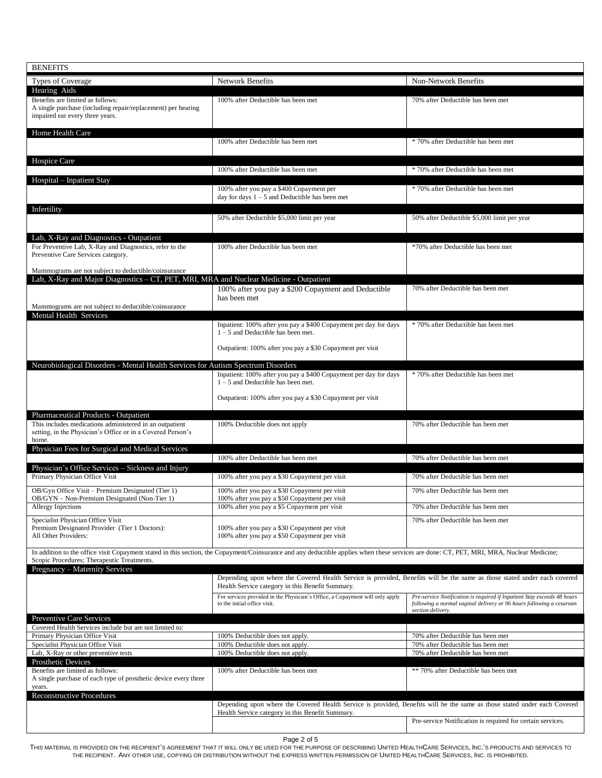| <b>BENEFITS</b>                                                                                                                 |                                                                                                                                                                                           |                                                                                                                                                                      |
|---------------------------------------------------------------------------------------------------------------------------------|-------------------------------------------------------------------------------------------------------------------------------------------------------------------------------------------|----------------------------------------------------------------------------------------------------------------------------------------------------------------------|
| Types of Coverage                                                                                                               | Network Benefits                                                                                                                                                                          | Non-Network Benefits                                                                                                                                                 |
| Hearing Aids<br>Benefits are limited as follows:                                                                                | 100% after Deductible has been met                                                                                                                                                        | 70% after Deductible has been met                                                                                                                                    |
| A single purchase (including repair/replacement) per hearing<br>impaired ear every three years.                                 |                                                                                                                                                                                           |                                                                                                                                                                      |
| Home Health Care                                                                                                                |                                                                                                                                                                                           |                                                                                                                                                                      |
|                                                                                                                                 | 100% after Deductible has been met                                                                                                                                                        | * 70% after Deductible has been met                                                                                                                                  |
| Hospice Care                                                                                                                    | 100% after Deductible has been met                                                                                                                                                        | * 70% after Deductible has been met                                                                                                                                  |
| Hospital – Inpatient Stay                                                                                                       | 100% after you pay a \$400 Copayment per                                                                                                                                                  | * 70% after Deductible has been met                                                                                                                                  |
|                                                                                                                                 | day for days $1 - 5$ and Deductible has been met                                                                                                                                          |                                                                                                                                                                      |
| Infertility                                                                                                                     | 50% after Deductible \$5,000 limit per year                                                                                                                                               | 50% after Deductible \$5,000 limit per year                                                                                                                          |
| Lab, X-Ray and Diagnostics - Outpatient                                                                                         |                                                                                                                                                                                           |                                                                                                                                                                      |
| For Preventive Lab, X-Ray and Diagnostics, refer to the<br>Preventive Care Services category.                                   | 100% after Deductible has been met                                                                                                                                                        | *70% after Deductible has been met                                                                                                                                   |
| Mammograms are not subject to deductible/coinsurance                                                                            |                                                                                                                                                                                           |                                                                                                                                                                      |
| Lab, X-Ray and Major Diagnostics - CT, PET, MRI, MRA and Nuclear Medicine - Outpatient                                          | 100% after you pay a \$200 Copayment and Deductible                                                                                                                                       | 70% after Deductible has been met                                                                                                                                    |
|                                                                                                                                 | has been met                                                                                                                                                                              |                                                                                                                                                                      |
| Mammograms are not subject to deductible/coinsurance<br>Mental Health Services                                                  |                                                                                                                                                                                           |                                                                                                                                                                      |
|                                                                                                                                 | Inpatient: 100% after you pay a \$400 Copayment per day for days<br>$1 - 5$ and Deductible has been met.                                                                                  | * 70% after Deductible has been met                                                                                                                                  |
|                                                                                                                                 | Outpatient: 100% after you pay a \$30 Copayment per visit                                                                                                                                 |                                                                                                                                                                      |
| Neurobiological Disorders - Mental Health Services for Autism Spectrum Disorders                                                |                                                                                                                                                                                           |                                                                                                                                                                      |
|                                                                                                                                 | Inpatient: 100% after you pay a \$400 Copayment per day for days<br>$1 - 5$ and Deductible has been met.                                                                                  | * 70% after Deductible has been met                                                                                                                                  |
|                                                                                                                                 | Outpatient: 100% after you pay a \$30 Copayment per visit                                                                                                                                 |                                                                                                                                                                      |
| Pharmaceutical Products - Outpatient                                                                                            |                                                                                                                                                                                           |                                                                                                                                                                      |
| This includes medications administered in an outpatient<br>setting, in the Physician's Office or in a Covered Person's<br>home. | 100% Deductible does not apply                                                                                                                                                            | 70% after Deductible has been met                                                                                                                                    |
| Physician Fees for Surgical and Medical Services                                                                                | 100% after Deductible has been met                                                                                                                                                        | 70% after Deductible has been met                                                                                                                                    |
| Physician's Office Services - Sickness and Injury                                                                               |                                                                                                                                                                                           |                                                                                                                                                                      |
| Primary Physician Office Visit                                                                                                  | 100% after you pay a \$30 Copayment per visit                                                                                                                                             | 70% after Deductible has been met                                                                                                                                    |
| OB/Gyn Office Visit - Premium Designated (Tier 1)<br>OB/GYN - Non-Premium Designated (Non-Tier 1)                               | 100% after you pay a \$30 Copayment per visit<br>100% after you pay a \$50 Copayment per visit                                                                                            | 70% after Deductible has been met                                                                                                                                    |
| Allergy Injections                                                                                                              | 100% after you pay a \$5 Copayment per visit                                                                                                                                              | 70% after Deductible has been met                                                                                                                                    |
| Specialist Physician Office Visit<br>Premium Designated Provider (Tier 1 Doctors):<br>All Other Providers:                      | 100% after you pay a \$30 Copayment per visit<br>100% after you pay a \$50 Copayment per visit                                                                                            | 70% after Deductible has been met                                                                                                                                    |
| Scopic Procedures; Therapeutic Treatments.                                                                                      | In addition to the office visit Copayment stated in this section, the Copayment/Coinsurance and any deductible applies when these services are done: CT, PET, MRI, MRA, Nuclear Medicine; |                                                                                                                                                                      |
| Pregnancy – Maternity Services                                                                                                  |                                                                                                                                                                                           |                                                                                                                                                                      |
|                                                                                                                                 | Depending upon where the Covered Health Service is provided, Benefits will be the same as those stated under each covered<br>Health Service category in this Benefit Summary.             |                                                                                                                                                                      |
|                                                                                                                                 | For services provided in the Physician's Office, a Copayment will only apply<br>to the initial office visit.                                                                              | Pre-service Notification is required if Inpatient Stay exceeds 48 hours<br>following a normal vaginal delivery or 96 hours following a cesarean<br>section delivery. |
| Preventive Care Services<br>Covered Health Services include but are not limited to:                                             |                                                                                                                                                                                           |                                                                                                                                                                      |
| Primary Physician Office Visit                                                                                                  | 100% Deductible does not apply.                                                                                                                                                           | 70% after Deductible has been met                                                                                                                                    |
| Specialist Physician Office Visit<br>Lab, X-Ray or other preventive tests                                                       | 100% Deductible does not apply.<br>100% Deductible does not apply.                                                                                                                        | 70% after Deductible has been met<br>70% after Deductible has been met                                                                                               |
| Prosthetic Devices                                                                                                              |                                                                                                                                                                                           |                                                                                                                                                                      |
| Benefits are limited as follows:<br>A single purchase of each type of prosthetic device every three<br>years.                   | 100% after Deductible has been met                                                                                                                                                        | ** 70% after Deductible has been met                                                                                                                                 |
| <b>Reconstructive Procedures</b>                                                                                                |                                                                                                                                                                                           |                                                                                                                                                                      |
|                                                                                                                                 | Depending upon where the Covered Health Service is provided, Benefits will be the same as those stated under each Covered<br>Health Service category in this Benefit Summary.             |                                                                                                                                                                      |
|                                                                                                                                 |                                                                                                                                                                                           | Pre-service Notification is required for certain services.                                                                                                           |

Page 2 of 5

THIS MATERIAL IS PROVIDED ON THE RECIPIENT'S AGREEMENT THAT IT WILL ONLY BE USED FOR THE PURPOSE OF DESCRIBING UNITED HEALTHCARE SERVICES, INC.'S PRODUCTS AND SERVICES TO THE RECIPIENT. ANY OTHER USE, COPYING OR DISTRIBUTION WITHOUT THE EXPRESS WRITTEN PERMISSION OF UNITED HEALTHCARE SERVICES, INC. IS PROHIBITED.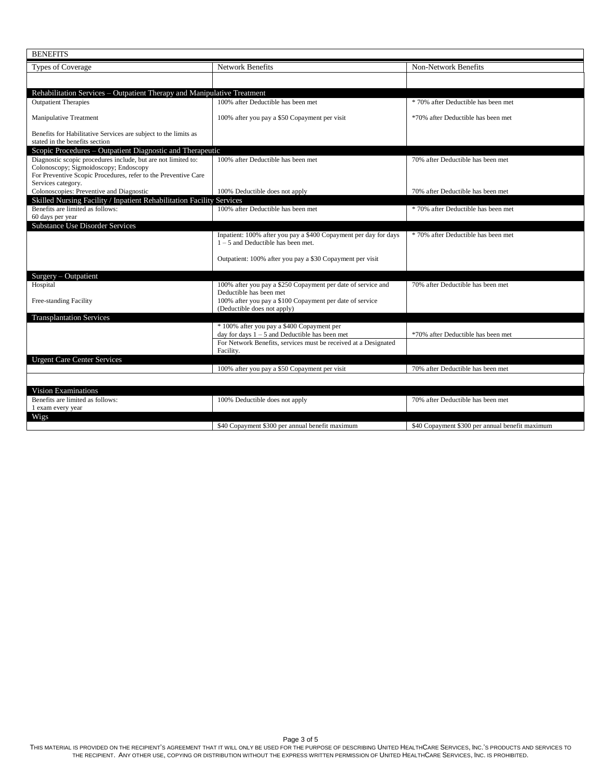| <b>BENEFITS</b>                                                                                                                                                                                |                                                                                                          |                                                 |
|------------------------------------------------------------------------------------------------------------------------------------------------------------------------------------------------|----------------------------------------------------------------------------------------------------------|-------------------------------------------------|
| Types of Coverage                                                                                                                                                                              | Network Benefits                                                                                         | Non-Network Benefits                            |
|                                                                                                                                                                                                |                                                                                                          |                                                 |
| Rehabilitation Services – Outpatient Therapy and Manipulative Treatment                                                                                                                        |                                                                                                          |                                                 |
| <b>Outpatient Therapies</b>                                                                                                                                                                    | 100% after Deductible has been met                                                                       | * 70% after Deductible has been met             |
| <b>Manipulative Treatment</b>                                                                                                                                                                  | 100% after you pay a \$50 Copayment per visit                                                            | *70% after Deductible has been met              |
| Benefits for Habilitative Services are subject to the limits as<br>stated in the benefits section                                                                                              |                                                                                                          |                                                 |
| Scopic Procedures - Outpatient Diagnostic and Therapeutic                                                                                                                                      |                                                                                                          |                                                 |
| Diagnostic scopic procedures include, but are not limited to:<br>Colonoscopy; Sigmoidoscopy; Endoscopy<br>For Preventive Scopic Procedures, refer to the Preventive Care<br>Services category. | 100% after Deductible has been met                                                                       | 70% after Deductible has been met               |
| Colonoscopies: Preventive and Diagnostic                                                                                                                                                       | 100% Deductible does not apply                                                                           | 70% after Deductible has been met               |
| Skilled Nursing Facility / Inpatient Rehabilitation Facility Services                                                                                                                          |                                                                                                          |                                                 |
| Benefits are limited as follows:<br>60 days per year                                                                                                                                           | 100% after Deductible has been met                                                                       | * 70% after Deductible has been met             |
| <b>Substance Use Disorder Services</b>                                                                                                                                                         |                                                                                                          |                                                 |
|                                                                                                                                                                                                | Inpatient: 100% after you pay a \$400 Copayment per day for days<br>$1 - 5$ and Deductible has been met. | * 70% after Deductible has been met             |
|                                                                                                                                                                                                | Outpatient: 100% after you pay a \$30 Copayment per visit                                                |                                                 |
| Surgery - Outpatient                                                                                                                                                                           |                                                                                                          |                                                 |
| Hospital                                                                                                                                                                                       | 100% after you pay a \$250 Copayment per date of service and<br>Deductible has been met                  | 70% after Deductible has been met               |
| Free-standing Facility                                                                                                                                                                         | 100% after you pay a \$100 Copayment per date of service<br>(Deductible does not apply)                  |                                                 |
| <b>Transplantation Services</b>                                                                                                                                                                |                                                                                                          |                                                 |
|                                                                                                                                                                                                | * 100% after you pay a \$400 Copayment per<br>day for days $1 - 5$ and Deductible has been met           | *70% after Deductible has been met              |
|                                                                                                                                                                                                | For Network Benefits, services must be received at a Designated<br>Facility.                             |                                                 |
| <b>Urgent Care Center Services</b>                                                                                                                                                             |                                                                                                          |                                                 |
|                                                                                                                                                                                                | 100% after you pay a \$50 Copayment per visit                                                            | 70% after Deductible has been met               |
|                                                                                                                                                                                                |                                                                                                          |                                                 |
| <b>Vision Examinations</b>                                                                                                                                                                     |                                                                                                          |                                                 |
| Benefits are limited as follows:<br>1 exam every year                                                                                                                                          | 100% Deductible does not apply                                                                           | 70% after Deductible has been met               |
| Wigs                                                                                                                                                                                           | \$40 Copayment \$300 per annual benefit maximum                                                          | \$40 Copayment \$300 per annual benefit maximum |

Page 3 of 5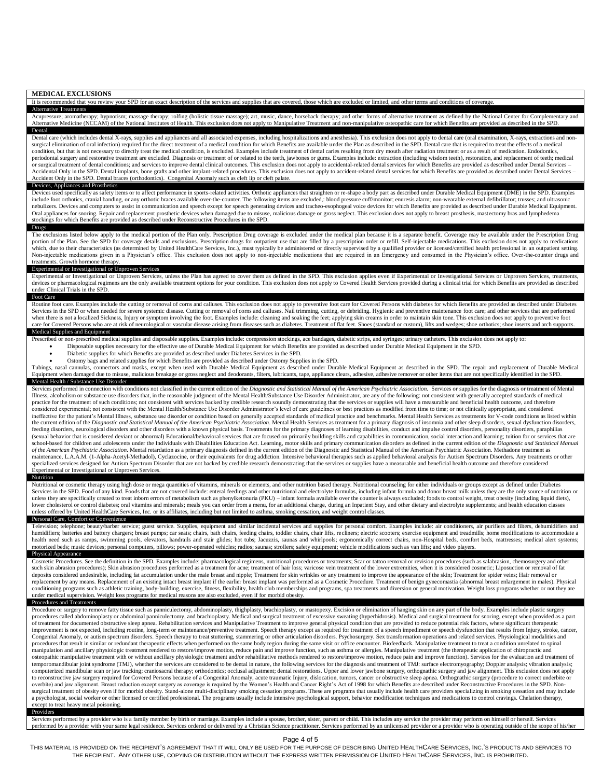| <b>MEDICAL EXCLUSIONS</b><br>It is recommended that you review your SPD for an exact description of the services and supplies that are covered, those which are excluded or limited, and other terms and conditions of coverage.                                                                                                                                                                                                                                                                                                                                                                                                                                                                                                                                                                                                                                                                                                                                                                                                                                                                                                                                                                                                                                                                                                                                                                                                                                                                                                                                                                                                                                                                                                                                                                                                                                                                                                                                                                                                                                                                                                                                                                                                                                                                                                                                                                                                                                                                                                                                                                                                                                                                                                                                                                                                                                                                                                                                                                                                                                                                                                                                                                                                                                                                                                                                     |
|----------------------------------------------------------------------------------------------------------------------------------------------------------------------------------------------------------------------------------------------------------------------------------------------------------------------------------------------------------------------------------------------------------------------------------------------------------------------------------------------------------------------------------------------------------------------------------------------------------------------------------------------------------------------------------------------------------------------------------------------------------------------------------------------------------------------------------------------------------------------------------------------------------------------------------------------------------------------------------------------------------------------------------------------------------------------------------------------------------------------------------------------------------------------------------------------------------------------------------------------------------------------------------------------------------------------------------------------------------------------------------------------------------------------------------------------------------------------------------------------------------------------------------------------------------------------------------------------------------------------------------------------------------------------------------------------------------------------------------------------------------------------------------------------------------------------------------------------------------------------------------------------------------------------------------------------------------------------------------------------------------------------------------------------------------------------------------------------------------------------------------------------------------------------------------------------------------------------------------------------------------------------------------------------------------------------------------------------------------------------------------------------------------------------------------------------------------------------------------------------------------------------------------------------------------------------------------------------------------------------------------------------------------------------------------------------------------------------------------------------------------------------------------------------------------------------------------------------------------------------------------------------------------------------------------------------------------------------------------------------------------------------------------------------------------------------------------------------------------------------------------------------------------------------------------------------------------------------------------------------------------------------------------------------------------------------------------------------------------------------|
| <b>Alternative Treatments</b><br>Acupressure; aromatherapy; hypnotism; massage therapy; rolfing (holistic tissue massage); art, music, dance, horseback therapy; and other forms of alternative treatment as defined by the National Center for Complementary a                                                                                                                                                                                                                                                                                                                                                                                                                                                                                                                                                                                                                                                                                                                                                                                                                                                                                                                                                                                                                                                                                                                                                                                                                                                                                                                                                                                                                                                                                                                                                                                                                                                                                                                                                                                                                                                                                                                                                                                                                                                                                                                                                                                                                                                                                                                                                                                                                                                                                                                                                                                                                                                                                                                                                                                                                                                                                                                                                                                                                                                                                                      |
| Alternative Medicine (NCCAM) of the National Institutes of Health. This exclusion does not apply to Manipulative Treatment and non-manipulative osteopathic care for which Benefits are provided as described in the SPD.<br>Dental<br>Dental care (which includes dental X-rays, supplies and appliances and all associated expenses, including hospitalizations and anesthesia). This exclusion does not apply to dental care (oral examination, X-rays, extraction<br>surgical elimination of oral infection) required for the direct treatment of a medical condition for which Benefits are available under the Plan as described in the SPD. Dental care that is required to treat the effects of<br>condition, but that is not necessary to directly treat the medical condition, is excluded. Examples include treatment of dental caries resulting from dry mouth after radiation treatment or as a result of medication. Endodo<br>periodontal surgery and restorative treatment are excluded. Diagnosis or treatment of or related to the teeth, jawbones or gums. Examples include: extraction (including wisdom teeth), restoration, and replacement of teeth;<br>or surgical treatment of dental conditions; and services to improve dental clinical outcomes. This exclusion does not apply to accidental-related dental services for which Benefits are provided as described under Dental Se<br>Accidental Only in the SPD. Dental implants, bone grafts and other implant-related procedures. This exclusion does not apply to accident-related dental services for which Benefits are provided as described under Dental Ser<br>Accident Only in the SPD. Dental braces (orthodontics). Congenital Anomaly such as cleft lip or cleft palate.                                                                                                                                                                                                                                                                                                                                                                                                                                                                                                                                                                                                                                                                                                                                                                                                                                                                                                                                                                                                                                                                                                                                                                                                                                                                                                                                                                                                                                                                                                                                                                                                     |
| Devices, Appliances and Prosthetics<br>Devices used specifically as safety items or to affect performance in sports-related activities. Orthotic appliances that straighten or re-shape a body part as described under Durable Medical Equipment (DME) in the SPD. Ex<br>include foot orthotics, cranial banding, or any orthotic braces available over-the-counter. The following items are excluded,: blood pressure cuff/monitor; enuresis alarm; non-wearable external defibrillator; trusses; and<br>nebulizers. Devices and computers to assist in communication and speech except for speech generating devices and tracheo-esophogeal voice devices for which Benefits are provided as described under Durable Medical Equipment<br>Oral appliances for snoring, Repair and replacement prosthetic devices when damaged due to misuse, malicious damage or gross neglect. This exclusion does not apply to breast prosthesis, mastectomy bras and lymphedema<br>stockings for which Benefits are provided as described under Reconstructive Procedures in the SPD.                                                                                                                                                                                                                                                                                                                                                                                                                                                                                                                                                                                                                                                                                                                                                                                                                                                                                                                                                                                                                                                                                                                                                                                                                                                                                                                                                                                                                                                                                                                                                                                                                                                                                                                                                                                                                                                                                                                                                                                                                                                                                                                                                                                                                                                                                           |
| Drugs<br>The exclusions listed below apply to the medical portion of the Plan only. Prescription Drug coverage is excluded under the medical plan because it is a separate benefit. Coverage may be available under the Prescription Dr<br>portion of the Plan. See the SPD for coverage details and exclusions. Prescription drugs for outpatient use that are filled by a prescription order or refill. Self-injectable medications. This exclusion does not apply to m<br>which, due to their characteristics (as determined by United HealthCare Services, Inc.), must typically be administered or directly supervised by a qualified provider or licensed/certified health professional in an outpati<br>Non-injectable medications given in a Physician's office. This exclusion does not apply to non-injectable medications that are required in an Emergency and consumed in the Physician's office. Over-the-counter drugs and<br>treatments. Growth hormone therapy.                                                                                                                                                                                                                                                                                                                                                                                                                                                                                                                                                                                                                                                                                                                                                                                                                                                                                                                                                                                                                                                                                                                                                                                                                                                                                                                                                                                                                                                                                                                                                                                                                                                                                                                                                                                                                                                                                                                                                                                                                                                                                                                                                                                                                                                                                                                                                                                     |
| Experimental or Investigational or Unproven Services<br>Experimental or Investigational or Unproven Services, unless the Plan has agreed to cover them as defined in the SPD. This exclusion applies even if Experimental or Investigational Services or Unproven Services, treatments<br>devices or pharmacological regimens are the only available treatment options for your condition. This exclusion does not apply to Covered Health Services provided during a clinical trial for which Benefits are provided as<br>under Clinical Trials in the SPD.<br>Foot Care                                                                                                                                                                                                                                                                                                                                                                                                                                                                                                                                                                                                                                                                                                                                                                                                                                                                                                                                                                                                                                                                                                                                                                                                                                                                                                                                                                                                                                                                                                                                                                                                                                                                                                                                                                                                                                                                                                                                                                                                                                                                                                                                                                                                                                                                                                                                                                                                                                                                                                                                                                                                                                                                                                                                                                                            |
| Routine foot care. Examples include the cutting or removal of corns and calluses. This exclusion does not apply to preventive foot care for Covered Persons with diabetes for which Benefits are provided as described under D<br>Services in the SPD or when needed for severe systemic disease. Cutting or removal of corns and calluses. Nail trimming, cutting, or debriding. Hygienic and preventive maintenance foot care; and other services that are per<br>when there is not a localized Sickness, Injury or symptom involving the foot. Examples include: cleaning and soaking the feet; applying skin creams in order to maintain skin tone. This exclusion does not apply to preventiv<br>care for Covered Persons who are at risk of neurological or vascular disease arising from diseases such as diabetes. Treatment of flat feet. Shoes (standard or custom), lifts and wedges; shoe orthotics; shoe inserts and ar                                                                                                                                                                                                                                                                                                                                                                                                                                                                                                                                                                                                                                                                                                                                                                                                                                                                                                                                                                                                                                                                                                                                                                                                                                                                                                                                                                                                                                                                                                                                                                                                                                                                                                                                                                                                                                                                                                                                                                                                                                                                                                                                                                                                                                                                                                                                                                                                                                 |
| Medical Supplies and Equipment<br>Prescribed or non-prescribed medical supplies and disposable supplies. Examples include: compression stockings, ace bandages, diabetic strips, and syringes; urinary catheters. This exclusion does not apply to:<br>Disposable supplies necessary for the effective use of Durable Medical Equipment for which Benefits are provided as described under Durable Medical Equipment in the SPD.<br>Diabetic supplies for which Benefits are provided as described under Diabetes Services in the SPD.<br>$\bullet$<br>Ostomy bags and related supplies for which Benefits are provided as described under Ostomy Supplies in the SPD.<br>Tubings, nasal cannulas, connectors and masks, except when used with Durable Medical Equipment as described under Durable Medical Equipment as described in the SPD. The repair and replacement of Durable Medical<br>Equipment when damaged due to misuse, malicious breakage or gross neglect and deodorants, filters, lubricants, tape, appliance clears, adhesive, adhesive remover or other items that are not specifically identified in the S                                                                                                                                                                                                                                                                                                                                                                                                                                                                                                                                                                                                                                                                                                                                                                                                                                                                                                                                                                                                                                                                                                                                                                                                                                                                                                                                                                                                                                                                                                                                                                                                                                                                                                                                                                                                                                                                                                                                                                                                                                                                                                                                                                                                                                       |
| Mental Health / Substance Use Disorder<br>Services performed in connection with conditions not classified in the current edition of the Diagnostic and Statistical Manual of the American Psychiatric Association. Services or supplies for the diagnosis or treatment o<br>Illness, alcoholism or substance use disorders that, in the reasonable judgment of the Mental Health/Substance Use Disorder Administrator, are any of the following: not consistent with generally accepted standards of medic<br>practice for the treatment of such conditions; not consistent with services backed by credible research soundly demonstrating that the services or supplies will have a measurable and beneficial health outcome, and therefor<br>considered experimental; not consistent with the Mental Health/Substance Use Disorder Administrator's level of care guidelines or best practices as modified from time to time; or not clinically appropriate, and considered<br>ineffective for the patient's Mental Illness, substance use disorder or condition based on generally accepted standards of medical practice and benchmarks. Mental Health Services as treatments for V-code conditions as list<br>the current edition of the Diagnostic and Statistical Manual of the American Psychiatric Association. Mental Health Services as treatment for a primary diagnosis of insomnia and other sleep disorders, sexual dysfunction di<br>feeding disorders, neurological disorders and other disorders with a known physical basis. Treatments for the primary diagnoses of learning disabilities, conduct and impulse control disorders, personality disorders, paraph<br>(sexual behavior that is considered deviant or abnormal) Educational/behavioral services that are focused on primarily building skills and capabilities in communication, social interaction and learning; tuition for or serv<br>school-based for children and adolescents under the Individuals with Disabilities Education Act. Learning, motor skills and primary communication disorders as defined in the current edition of the Diagnostic and Statistica<br>of the American Psychiatric Association. Mental retardation as a primary diagnosis defined in the current edition of the Diagnostic and Statistical Manual of the American Psychiatric Association. Methadone treatment as<br>maintenance, L.A.A.M. (1-Alpha-Acetyl-Methadol), Cyclazocine, or their equivalents for drug addiction. Intensive behavioral therapies such as applied behavioral analysis for Autism Spectrum Disorders. Any treatments or oth<br>specialized services designed for Autism Spectrum Disorder that are not backed by credible research demonstrating that the services or supplies have a measurable and beneficial health outcome and therefore considered<br>Experimental or Investigational or Unproven Services.                                                                                                                                                                                                                                                                                                                                                                                                                                                         |
| Nutrition<br>Nutritional or cosmetic therapy using high dose or mega quantities of vitamins, minerals or elements, and other nutrition based therapy. Nutritional counseling for either individuals or groups except as defined under Diabe<br>Services in the SPD. Food of any kind. Foods that are not covered include: enteral feedings and other nutritional and electrolyte formulas, including infant formula and donor breast milk unless they are the only source of<br>unless they are specifically created to treat inborn errors of metabolism such as phenylketonuria (PKU) – infant formula available over the counter is always excluded; foods to control weight, treat obesity (including liqu<br>lower cholesterol or control diabetes; oral vitamins and minerals; meals you can order from a menu, for an additional charge, during an Inpatient Stay, and other dietary and electrolyte supplements; and health education cl<br>unless offered by United HealthCare Services, Inc. or its affiliates, including but not limited to asthma, smoking cessation, and weight control classes.<br>Personal Care, Comfort or Convenience<br>Television; telephone; beauty/barber service; guest service. Supplies, equipment and similar incidental services and supplies for personal comfort. Examples include: air conditioners, air purifiers and filters, dehumidifie                                                                                                                                                                                                                                                                                                                                                                                                                                                                                                                                                                                                                                                                                                                                                                                                                                                                                                                                                                                                                                                                                                                                                                                                                                                                                                                                                                                                                                                                                                                                                                                                                                                                                                                                                                                                                                                                                                                                                                             |
| humidifiers; batteries and battery chargers; breast pumps; car seats; chairs, bath chairs, feeding chairs, toddler chairs, chair lifts, recliners; electric scooters; exercise equipment and treadmills; home modifications to<br>health need such as ramps, swimming pools, elevators, handrails and stair glides; hot tubs; Jacuzzis, saunas and whirlpools; ergonomically correct chairs, non-Hospital beds, comfort beds, mattresses; medical alert systems;<br>motorized beds; music devices; personal computers, pillows; power-operated vehicles; radios; saunas; strollers; safety equipment; vehicle modifications such as van lifts; and video players.<br>Physical Appearance                                                                                                                                                                                                                                                                                                                                                                                                                                                                                                                                                                                                                                                                                                                                                                                                                                                                                                                                                                                                                                                                                                                                                                                                                                                                                                                                                                                                                                                                                                                                                                                                                                                                                                                                                                                                                                                                                                                                                                                                                                                                                                                                                                                                                                                                                                                                                                                                                                                                                                                                                                                                                                                                             |
| Cosmetic Procedures. See the definition in the SPD. Examples include: pharmacological regimens, nutritional procedures or treatments; Scar or tattoo removal or revision procedures (such as salabrasion, chemosurgery and oth<br>such skin abrasion procedures); Skin abrasion procedures performed as a treatment for acne; treatment of hair loss; varicose vein treatment of the lower extremities, when it is considered cosmetic; Liposuction or removal o<br>deposits considered undesirable, including fat accumulation under the male breast and nipple; Treatment for skin wrinkles or any treatment to improve the appearance of the skin; Treatment for spider veins; Hair removal or<br>replacement by any means. Replacement of an existing intact breast implant if the earlier breast implant was performed as a Cosmetic Procedure. Treatment of benign gynecomastia (abnormal breast enlargement in males). Physi<br>conditioning programs such as athletic training, body-building, exercise, fitness, flexibility, health club memberships and programs, spa treatments and diversion or general motivation. Weight loss programs whether or not<br>under medical supervision. Weight loss programs for medical reasons are also excluded, even if for morbid obesity.                                                                                                                                                                                                                                                                                                                                                                                                                                                                                                                                                                                                                                                                                                                                                                                                                                                                                                                                                                                                                                                                                                                                                                                                                                                                                                                                                                                                                                                                                                                                                                                                                                                                                                                                                                                                                                                                                                                                                                                                                                                                           |
| Procedures and Treatments<br>Procedure or surgery to remove fatty tissue such as panniculectomy, abdominoplasty, thighplasty, brachioplasty, or mastopexy. Excision or elimination of hanging skin on any part of the body. Examples include plastic surger<br>procedures called abdominoplasty or abdominal panniculectomy, and brachioplasty. Medical and surgical treatment of excessive sweating (hyperhidrosis). Medical and surgical treatment for snoring, except when provided as a p<br>of treatment for documented obstructive sleep apnea. Rehabilitation services and Manipulative Treatment to improve general physical condition that are provided to reduce potential risk factors, where significant therapeuti<br>improvement is not expected, including routine, long-term or maintenance/preventive treatment. Speech therapy except as required for treatment of a speech impediment or speech dysfunction that results from Injury, stroke,<br>Congenital Anomaly, or autism spectrum disorders. Speech therapy to treat stuttering, stammering or other articulation disorders. Psychosurgery. Sex transformation operations and related services. Physiological modalities<br>procedures that result in similar or redundant therapeutic effects when performed on the same body region during the same visit or office encounter. Biofeedback. Manipulative treatment to treat a condition unrelated to spi<br>manipulation and ancillary physiologic treatment rendered to restore/improve motion, reduce pain and improve function, such as asthma or allergies. Manipulative treatment (the therapeutic application of chiropractic and<br>osteopathic manipulative treatment with or without ancillary physiologic treatment and/or rehabilitative methods rendered to restore/improve motion, reduce pain and improve function). Services for the evaluation and treatm<br>temporomandibular joint syndrome (TMJ), whether the services are considered to be dental in nature, the following services for the diagnosis and treatment of TMJ: surface electromyography; Doppler analysis; vibration analy<br>computerized mandibular scan or jaw tracking; craniosacral therapy; orthodontics; occlusal adjustment; dental restorations. Upper and lower jawbone surgery, orthognathic surgery and jaw alignment. This exclusion does not a<br>to reconstructive jaw surgery required for Covered Persons because of a Congenital Anomaly, acute traumatic Injury, dislocation, tumors, cancer or obstructive sleep apnea. Orthognathic surgery (procedure to correct underbi<br>overbite) and jaw alignment. Breast reduction except surgery as coverage is required by the Women's Health and Cancer Right's Act of 1998 for which Benefits are described under Reconstructive Procedures in the SPD. Non-<br>surgical treatment of obesity even if for morbid obesity. Stand-alone multi-disciplinary smoking cessation programs. These are programs that usually include health care providers specializing in smoking cessation and may i<br>a psychologist, social worker or other licensed or certified professional. The programs usually include intensive psychological support, behavior modification techniques and medications to control cravings. Chelation thera<br>except to treat heavy metal poisoning.<br>Providers |
| Services performed by a provider who is a family member by birth or marriage. Examples include a spouse, brother, sister, parent or child. This includes any service the provider may perform on himself or herself. Services<br>performed by a provider with your same legal residence. Services ordered or delivered by a Christian Science practitioner. Services performed by an unlicensed provider or a provider who is operating outside of the scope of                                                                                                                                                                                                                                                                                                                                                                                                                                                                                                                                                                                                                                                                                                                                                                                                                                                                                                                                                                                                                                                                                                                                                                                                                                                                                                                                                                                                                                                                                                                                                                                                                                                                                                                                                                                                                                                                                                                                                                                                                                                                                                                                                                                                                                                                                                                                                                                                                                                                                                                                                                                                                                                                                                                                                                                                                                                                                                      |

Page 4 of 5

THIS MATERIAL IS PROVIDED ON THE RECIPIENT'S AGREEMENT THAT IT WILL ONLY BE USED FOR THE PURPOSE OF DESCRIBING UNITED HEALTHCARE SERVICES, INC.'S PRODUCTS AND SERVICES TO THE RECIPIENT. ANY OTHER USE, COPYING OR DISTRIBUTION WITHOUT THE EXPRESS WRITTEN PERMISSION OF UNITED HEALTHCARE SERVICES, INC. IS PROHIBITED.